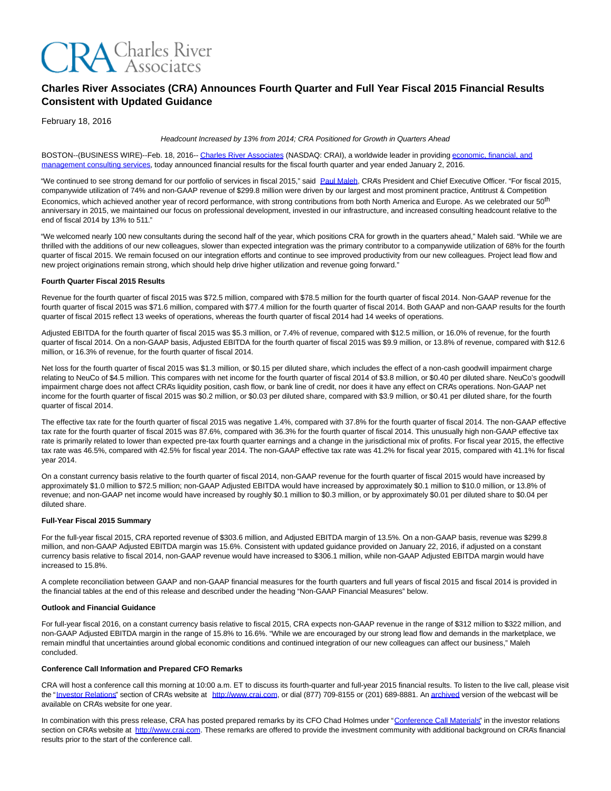

# **Charles River Associates (CRA) Announces Fourth Quarter and Full Year Fiscal 2015 Financial Results Consistent with Updated Guidance**

February 18, 2016

Headcount Increased by 13% from 2014; CRA Positioned for Growth in Quarters Ahead

BOSTON--(BUSINESS WIRE)--Feb. 18, 2016-- [Charles River Associates \(](http://cts.businesswire.com/ct/CT?id=smartlink&url=http%3A%2F%2Fwww.crai.com%2FDefault.aspx&esheet=51282077&newsitemid=20160218005772&lan=en-US&anchor=Charles+River+Associates&index=1&md5=33dfe5a19fa2077dce53d279a94fb436)NASDAQ: CRAI), a worldwide leader in providing [economic, financial, and](http://cts.businesswire.com/ct/CT?id=smartlink&url=http%3A%2F%2Fwww.crai.com%2FConsultingExpertise%2FDefaultCustom.aspx&esheet=51282077&newsitemid=20160218005772&lan=en-US&anchor=economic%2C+financial%2C+and+management+consulting+services&index=2&md5=cb8c5121d5b6751990e4b3a5eefff526) management consulting services, today announced financial results for the fiscal fourth quarter and year ended January 2, 2016.

"We continued to see strong demand for our portfolio of services in fiscal 2015," said [Paul Maleh,](http://cts.businesswire.com/ct/CT?id=smartlink&url=http%3A%2F%2Fwww.crai.com%2Fexpert%2Fpaul-maleh&esheet=51282077&newsitemid=20160218005772&lan=en-US&anchor=Paul+Maleh&index=3&md5=36f57fdbe2699bc4c869eade8d97af81) CRA's President and Chief Executive Officer. "For fiscal 2015, companywide utilization of 74% and non-GAAP revenue of \$299.8 million were driven by our largest and most prominent practice, Antitrust & Competition Economics, which achieved another year of record performance, with strong contributions from both North America and Europe. As we celebrated our 50<sup>th</sup> anniversary in 2015, we maintained our focus on professional development, invested in our infrastructure, and increased consulting headcount relative to the end of fiscal 2014 by 13% to 511."

"We welcomed nearly 100 new consultants during the second half of the year, which positions CRA for growth in the quarters ahead," Maleh said. "While we are thrilled with the additions of our new colleagues, slower than expected integration was the primary contributor to a companywide utilization of 68% for the fourth quarter of fiscal 2015. We remain focused on our integration efforts and continue to see improved productivity from our new colleagues. Project lead flow and new project originations remain strong, which should help drive higher utilization and revenue going forward."

## **Fourth Quarter Fiscal 2015 Results**

Revenue for the fourth quarter of fiscal 2015 was \$72.5 million, compared with \$78.5 million for the fourth quarter of fiscal 2014. Non-GAAP revenue for the fourth quarter of fiscal 2015 was \$71.6 million, compared with \$77.4 million for the fourth quarter of fiscal 2014. Both GAAP and non-GAAP results for the fourth quarter of fiscal 2015 reflect 13 weeks of operations, whereas the fourth quarter of fiscal 2014 had 14 weeks of operations.

Adjusted EBITDA for the fourth quarter of fiscal 2015 was \$5.3 million, or 7.4% of revenue, compared with \$12.5 million, or 16.0% of revenue, for the fourth quarter of fiscal 2014. On a non-GAAP basis, Adjusted EBITDA for the fourth quarter of fiscal 2015 was \$9.9 million, or 13.8% of revenue, compared with \$12.6 million, or 16.3% of revenue, for the fourth quarter of fiscal 2014.

Net loss for the fourth quarter of fiscal 2015 was \$1.3 million, or \$0.15 per diluted share, which includes the effect of a non-cash goodwill impairment charge relating to NeuCo of \$4.5 million. This compares with net income for the fourth quarter of fiscal 2014 of \$3.8 million, or \$0.40 per diluted share. NeuCo's goodwill impairment charge does not affect CRA's liquidity position, cash flow, or bank line of credit, nor does it have any effect on CRA's operations. Non-GAAP net income for the fourth quarter of fiscal 2015 was \$0.2 million, or \$0.03 per diluted share, compared with \$3.9 million, or \$0.41 per diluted share, for the fourth quarter of fiscal 2014.

The effective tax rate for the fourth quarter of fiscal 2015 was negative 1.4%, compared with 37.8% for the fourth quarter of fiscal 2014. The non-GAAP effective tax rate for the fourth quarter of fiscal 2015 was 87.6%, compared with 36.3% for the fourth quarter of fiscal 2014. This unusually high non-GAAP effective tax rate is primarily related to lower than expected pre-tax fourth quarter earnings and a change in the jurisdictional mix of profits. For fiscal year 2015, the effective tax rate was 46.5%, compared with 42.5% for fiscal year 2014. The non-GAAP effective tax rate was 41.2% for fiscal year 2015, compared with 41.1% for fiscal year 2014.

On a constant currency basis relative to the fourth quarter of fiscal 2014, non-GAAP revenue for the fourth quarter of fiscal 2015 would have increased by approximately \$1.0 million to \$72.5 million; non-GAAP Adjusted EBITDA would have increased by approximately \$0.1 million to \$10.0 million, or 13.8% of revenue; and non-GAAP net income would have increased by roughly \$0.1 million to \$0.3 million, or by approximately \$0.01 per diluted share to \$0.04 per diluted share.

## **Full-Year Fiscal 2015 Summary**

For the full-year fiscal 2015, CRA reported revenue of \$303.6 million, and Adjusted EBITDA margin of 13.5%. On a non-GAAP basis, revenue was \$299.8 million, and non-GAAP Adjusted EBITDA margin was 15.6%. Consistent with updated guidance provided on January 22, 2016, if adjusted on a constant currency basis relative to fiscal 2014, non-GAAP revenue would have increased to \$306.1 million, while non-GAAP Adjusted EBITDA margin would have increased to 15.8%.

A complete reconciliation between GAAP and non-GAAP financial measures for the fourth quarters and full years of fiscal 2015 and fiscal 2014 is provided in the financial tables at the end of this release and described under the heading "Non-GAAP Financial Measures" below.

## **Outlook and Financial Guidance**

For full-year fiscal 2016, on a constant currency basis relative to fiscal 2015, CRA expects non-GAAP revenue in the range of \$312 million to \$322 million, and non-GAAP Adjusted EBITDA margin in the range of 15.8% to 16.6%. "While we are encouraged by our strong lead flow and demands in the marketplace, we remain mindful that uncertainties around global economic conditions and continued integration of our new colleagues can affect our business," Maleh concluded.

## **Conference Call Information and Prepared CFO Remarks**

CRA will host a conference call this morning at 10:00 a.m. ET to discuss its fourth-quarter and full-year 2015 financial results. To listen to the live call, please visit the ["Investor Relations"](http://cts.businesswire.com/ct/CT?id=smartlink&url=http%3A%2F%2Fphx.corporate-ir.net%2Fphoenix.zhtml%3Fc%3D97435%26p%3Dirol-IRHome&esheet=51282077&newsitemid=20160218005772&lan=en-US&anchor=Investor+Relations&index=4&md5=72dbe8d469ffde8aed23201b42ad0d34) section of CRA's website at [http://www.crai.com,](http://cts.businesswire.com/ct/CT?id=smartlink&url=http%3A%2F%2Fwww.crai.com%2FDefault.aspx&esheet=51282077&newsitemid=20160218005772&lan=en-US&anchor=http%3A%2F%2Fwww.crai.com&index=5&md5=79bf0096e2cc3e569db61c10cc84addb) or dial (877) 709-8155 or (201) 689-8881. A[n archived v](http://cts.businesswire.com/ct/CT?id=smartlink&url=http%3A%2F%2Fphx.corporate-ir.net%2Fphoenix.zhtml%3Fc%3D97435%26p%3Dirol-calendarpast&esheet=51282077&newsitemid=20160218005772&lan=en-US&anchor=archived&index=6&md5=62dd0360f0498c4f025215a60174b599)ersion of the webcast will be available on CRA's website for one year.

In combination with this press release, CRA has posted prepared remarks by its CFO Chad Holmes under ["Conference Call Materials"](http://cts.businesswire.com/ct/CT?id=smartlink&url=http%3A%2F%2Fphx.corporate-ir.net%2Fphoenix.zhtml%3Fc%3D97435%26p%3Dirol-presentations&esheet=51282077&newsitemid=20160218005772&lan=en-US&anchor=Conference+Call+Materials&index=7&md5=faad4c386b26aeb5a3df24404fff0766) in the investor relations section on CRA's website at [http://www.crai.com.](http://cts.businesswire.com/ct/CT?id=smartlink&url=http%3A%2F%2Fwww.crai.com%2FDefault.aspx&esheet=51282077&newsitemid=20160218005772&lan=en-US&anchor=http%3A%2F%2Fwww.crai.com&index=8&md5=cae5b6672390c9a6df19380130e98997) These remarks are offered to provide the investment community with additional background on CRA's financial results prior to the start of the conference call.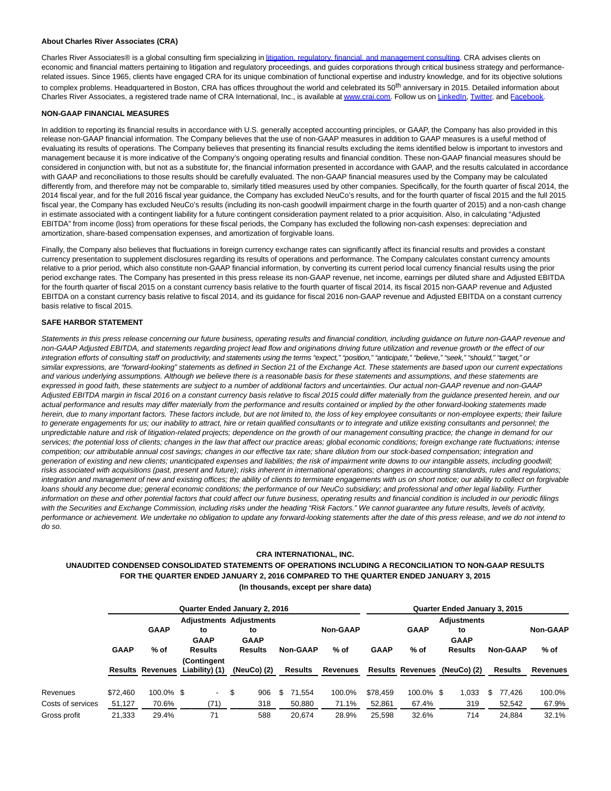#### **About Charles River Associates (CRA)**

Charles River Associates® is a global consulting firm specializing in [litigation, regulatory, financial, and management consulting.](http://cts.businesswire.com/ct/CT?id=smartlink&url=http%3A%2F%2Fwww.crai.com%2F&esheet=51282077&newsitemid=20160218005772&lan=en-US&anchor=litigation%2C+regulatory%2C+financial%2C+and+management+consulting&index=9&md5=8a0962b6887c3e68162061a1094585ba) CRA advises clients on economic and financial matters pertaining to litigation and regulatory proceedings, and guides corporations through critical business strategy and performancerelated issues. Since 1965, clients have engaged CRA for its unique combination of functional expertise and industry knowledge, and for its objective solutions to complex problems. Headquartered in Boston, CRA has offices throughout the world and celebrated its 50<sup>th</sup> anniversary in 2015. Detailed information about Charles River Associates, a registered trade name of CRA International, Inc., is available a[t www.crai.com.](http://cts.businesswire.com/ct/CT?id=smartlink&url=http%3A%2F%2Fwww.crai.com&esheet=51282077&newsitemid=20160218005772&lan=en-US&anchor=www.crai.com&index=10&md5=3739252ac7197fd942f4023b00177957) Follow us o[n LinkedIn,](http://cts.businesswire.com/ct/CT?id=smartlink&url=https%3A%2F%2Fwww.linkedin.com%2Fcompany%2Fcharles-river-associates&esheet=51282077&newsitemid=20160218005772&lan=en-US&anchor=LinkedIn&index=11&md5=15962b1a6cf203363fd411bfa7cdf86a) [Twitter,](http://cts.businesswire.com/ct/CT?id=smartlink&url=https%3A%2F%2Ftwitter.com%2FNews_CRA&esheet=51282077&newsitemid=20160218005772&lan=en-US&anchor=Twitter&index=12&md5=814d22384f2653bb8eeaa4ad95f72d83) and [Facebook.](http://cts.businesswire.com/ct/CT?id=smartlink&url=https%3A%2F%2Fwww.facebook.com%2FCharlesRiverAssociates&esheet=51282077&newsitemid=20160218005772&lan=en-US&anchor=Facebook&index=13&md5=e9487558d38126077993358208113cbd)

## **NON-GAAP FINANCIAL MEASURES**

In addition to reporting its financial results in accordance with U.S. generally accepted accounting principles, or GAAP, the Company has also provided in this release non-GAAP financial information. The Company believes that the use of non-GAAP measures in addition to GAAP measures is a useful method of evaluating its results of operations. The Company believes that presenting its financial results excluding the items identified below is important to investors and management because it is more indicative of the Company's ongoing operating results and financial condition. These non-GAAP financial measures should be considered in conjunction with, but not as a substitute for, the financial information presented in accordance with GAAP, and the results calculated in accordance with GAAP and reconciliations to those results should be carefully evaluated. The non-GAAP financial measures used by the Company may be calculated differently from, and therefore may not be comparable to, similarly titled measures used by other companies. Specifically, for the fourth quarter of fiscal 2014, the 2014 fiscal year, and for the full 2016 fiscal year guidance, the Company has excluded NeuCo's results, and for the fourth quarter of fiscal 2015 and the full 2015 fiscal year, the Company has excluded NeuCo's results (including its non-cash goodwill impairment charge in the fourth quarter of 2015) and a non-cash change in estimate associated with a contingent liability for a future contingent consideration payment related to a prior acquisition. Also, in calculating "Adjusted EBITDA" from income (loss) from operations for these fiscal periods, the Company has excluded the following non-cash expenses: depreciation and amortization, share-based compensation expenses, and amortization of forgivable loans.

Finally, the Company also believes that fluctuations in foreign currency exchange rates can significantly affect its financial results and provides a constant currency presentation to supplement disclosures regarding its results of operations and performance. The Company calculates constant currency amounts relative to a prior period, which also constitute non-GAAP financial information, by converting its current period local currency financial results using the prior period exchange rates. The Company has presented in this press release its non-GAAP revenue, net income, earnings per diluted share and Adjusted EBITDA for the fourth quarter of fiscal 2015 on a constant currency basis relative to the fourth quarter of fiscal 2014, its fiscal 2015 non-GAAP revenue and Adjusted EBITDA on a constant currency basis relative to fiscal 2014, and its guidance for fiscal 2016 non-GAAP revenue and Adjusted EBITDA on a constant currency basis relative to fiscal 2015.

#### **SAFE HARBOR STATEMENT**

Statements in this press release concerning our future business, operating results and financial condition, including guidance on future non-GAAP revenue and non-GAAP Adjusted EBITDA, and statements regarding project lead flow and originations driving future utilization and revenue growth or the effect of our integration efforts of consulting staff on productivity, and statements using the terms "expect," "position," "anticipate," "believe," "seek," "should," "target," or similar expressions, are "forward-looking" statements as defined in Section 21 of the Exchange Act. These statements are based upon our current expectations and various underlying assumptions. Although we believe there is a reasonable basis for these statements and assumptions, and these statements are expressed in good faith, these statements are subject to a number of additional factors and uncertainties. Our actual non-GAAP revenue and non-GAAP Adjusted EBITDA margin in fiscal 2016 on a constant currency basis relative to fiscal 2015 could differ materially from the guidance presented herein, and our actual performance and results may differ materially from the performance and results contained or implied by the other forward-looking statements made herein, due to many important factors. These factors include, but are not limited to, the loss of key employee consultants or non-employee experts; their failure to generate engagements for us; our inability to attract, hire or retain qualified consultants or to integrate and utilize existing consultants and personnel; the unpredictable nature and risk of litigation-related projects; dependence on the growth of our management consulting practice; the change in demand for our services; the potential loss of clients; changes in the law that affect our practice areas; global economic conditions; foreign exchange rate fluctuations; intense competition; our attributable annual cost savings; changes in our effective tax rate; share dilution from our stock-based compensation; integration and generation of existing and new clients; unanticipated expenses and liabilities; the risk of impairment write downs to our intangible assets, including goodwill; risks associated with acquisitions (past, present and future); risks inherent in international operations; changes in accounting standards, rules and regulations; integration and management of new and existing offices; the ability of clients to terminate engagements with us on short notice; our ability to collect on forgivable loans should any become due; general economic conditions; the performance of our NeuCo subsidiary; and professional and other legal liability. Further information on these and other potential factors that could affect our future business, operating results and financial condition is included in our periodic filings with the Securities and Exchange Commission, including risks under the heading "Risk Factors." We cannot guarantee any future results, levels of activity, performance or achievement. We undertake no obligation to update any forward-looking statements after the date of this press release, and we do not intend to do so.

#### **CRA INTERNATIONAL, INC.**

## **UNAUDITED CONDENSED CONSOLIDATED STATEMENTS OF OPERATIONS INCLUDING A RECONCILIATION TO NON-GAAP RESULTS FOR THE QUARTER ENDED JANUARY 2, 2016 COMPARED TO THE QUARTER ENDED JANUARY 3, 2015 (In thousands, except per share data)**

|                   |             |             | Quarter Ended January 2, 2016   |                                | Quarter Ended January 3, 2015 |                 |             |                    |                              |                 |                 |  |
|-------------------|-------------|-------------|---------------------------------|--------------------------------|-------------------------------|-----------------|-------------|--------------------|------------------------------|-----------------|-----------------|--|
|                   |             |             |                                 | <b>Adjustments Adjustments</b> |                               |                 |             | <b>Adjustments</b> |                              |                 |                 |  |
|                   |             | <b>GAAP</b> | to                              | to                             |                               | <b>Non-GAAP</b> |             | <b>GAAP</b>        | to                           |                 | <b>Non-GAAP</b> |  |
|                   |             |             | <b>GAAP</b>                     | <b>GAAP</b>                    |                               |                 |             |                    | <b>GAAP</b>                  |                 |                 |  |
|                   | <b>GAAP</b> | % of        | <b>Results</b><br>(Contingent   | <b>Results</b>                 | <b>Non-GAAP</b>               | % of            | <b>GAAP</b> | $%$ of             | Results                      | <b>Non-GAAP</b> | % of            |  |
|                   |             |             | Results Revenues Liability) (1) | (NeuCo) (2)                    | Results                       | <b>Revenues</b> |             |                    | Results Revenues (NeuCo) (2) | Results         | Revenues        |  |
| Revenues          | \$72,460    | 100.0% \$   | $\sim$                          | \$<br>906                      | 71.554<br>S.                  | 100.0%          | \$78,459    | 100.0% \$          | 1,033                        | 77.426<br>S     | 100.0%          |  |
| Costs of services | 51,127      | 70.6%       | (71)                            | 318                            | 50,880                        | 71.1%           | 52,861      | 67.4%              | 319                          | 52,542          | 67.9%           |  |
| Gross profit      | 21,333      | 29.4%       | 71                              | 588                            | 20.674                        | 28.9%           | 25.598      | 32.6%              | 714                          | 24.884          | 32.1%           |  |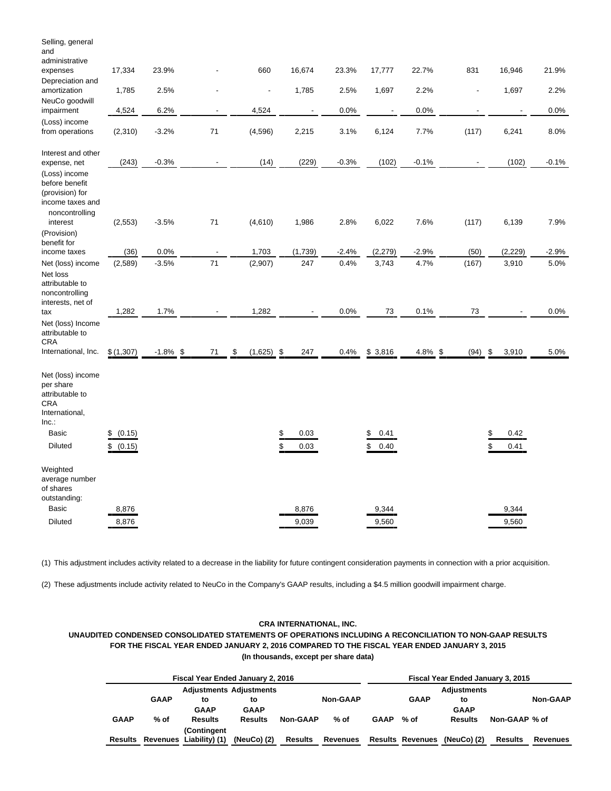| Selling, general<br>and<br>administrative                                                                                   |                              |                 |    |                    |          |                          |                 |                          |                 |               |                    |                 |
|-----------------------------------------------------------------------------------------------------------------------------|------------------------------|-----------------|----|--------------------|----------|--------------------------|-----------------|--------------------------|-----------------|---------------|--------------------|-----------------|
| expenses                                                                                                                    | 17,334                       | 23.9%           |    | 660                |          | 16,674                   | 23.3%           | 17,777                   | 22.7%           | 831           | 16,946             | 21.9%           |
| Depreciation and<br>amortization                                                                                            | 1,785                        | 2.5%            |    | L,                 |          | 1,785                    | 2.5%            | 1,697                    | 2.2%            |               | 1,697              | 2.2%            |
| NeuCo goodwill<br>impairment                                                                                                | 4,524                        | 6.2%            |    | 4,524              |          | $\overline{\phantom{a}}$ | 0.0%            |                          | 0.0%            |               |                    | 0.0%            |
| (Loss) income<br>from operations                                                                                            | (2,310)                      | $-3.2%$         | 71 | (4, 596)           |          | 2,215                    | 3.1%            | 6,124                    | 7.7%            | (117)         | 6,241              | 8.0%            |
| Interest and other<br>expense, net                                                                                          | (243)                        | $-0.3%$         |    | (14)               |          | (229)                    | $-0.3%$         | (102)                    | $-0.1%$         |               | (102)              | $-0.1%$         |
| (Loss) income<br>before benefit<br>(provision) for<br>income taxes and<br>noncontrolling<br>interest                        | (2, 553)                     | $-3.5%$         | 71 | (4,610)            |          | 1,986                    | 2.8%            | 6,022                    | 7.6%            | (117)         | 6,139              | 7.9%            |
| (Provision)<br>benefit for                                                                                                  |                              |                 |    |                    |          |                          |                 |                          |                 |               |                    |                 |
| income taxes<br>Net (loss) income                                                                                           | (36)<br>(2,589)              | 0.0%<br>$-3.5%$ | 71 | 1,703<br>(2,907)   |          | (1,739)<br>247           | $-2.4%$<br>0.4% | (2, 279)<br>3,743        | $-2.9%$<br>4.7% | (50)<br>(167) | (2, 229)<br>3,910  | $-2.9%$<br>5.0% |
| Net loss<br>attributable to<br>noncontrolling<br>interests, net of<br>tax                                                   | 1,282                        | 1.7%            |    | 1,282              |          |                          | 0.0%            | 73                       | 0.1%            | 73            |                    | 0.0%            |
| Net (loss) Income<br>attributable to<br><b>CRA</b><br>International, Inc.                                                   | \$(1,307)                    | $-1.8\%$ \$     | 71 | \$<br>$(1,625)$ \$ |          | 247                      | 0.4%            | \$3,816                  | $4.8\%$ \$      | $(94)$ \$     | 3,910              | 5.0%            |
|                                                                                                                             |                              |                 |    |                    |          |                          |                 |                          |                 |               |                    |                 |
| Net (loss) income<br>per share<br>attributable to<br><b>CRA</b><br>International,<br>Inc.<br><b>Basic</b><br><b>Diluted</b> | \$<br>(0.15)<br>\$<br>(0.15) |                 |    |                    | \$<br>\$ | 0.03<br>0.03             |                 | 0.41<br>\$<br>\$<br>0.40 |                 |               | \$<br>0.42<br>0.41 |                 |
| Weighted<br>average number<br>of shares<br>outstanding:                                                                     |                              |                 |    |                    |          |                          |                 |                          |                 |               |                    |                 |
| Basic                                                                                                                       | 8,876                        |                 |    |                    |          | 8,876                    |                 | 9,344                    |                 |               | 9,344              |                 |
| <b>Diluted</b>                                                                                                              | 8,876                        |                 |    |                    |          | 9,039                    |                 | 9,560                    |                 |               | 9,560              |                 |

(1) This adjustment includes activity related to a decrease in the liability for future contingent consideration payments in connection with a prior acquisition.

(2) These adjustments include activity related to NeuCo in the Company's GAAP results, including a \$4.5 million goodwill impairment charge.

## **CRA INTERNATIONAL, INC.**

## **UNAUDITED CONDENSED CONSOLIDATED STATEMENTS OF OPERATIONS INCLUDING A RECONCILIATION TO NON-GAAP RESULTS FOR THE FISCAL YEAR ENDED JANUARY 2, 2016 COMPARED TO THE FISCAL YEAR ENDED JANUARY 3, 2015 (In thousands, except per share data)**

|             |             | Fiscal Year Ended January 2, 2016 |               | Fiscal Year Ended January 3, 2015 |                 |             |                         |             |               |                 |  |
|-------------|-------------|-----------------------------------|---------------|-----------------------------------|-----------------|-------------|-------------------------|-------------|---------------|-----------------|--|
|             |             | <b>Adjustments Adjustments</b>    |               |                                   |                 |             |                         | Adjustments |               |                 |  |
|             | <b>GAAP</b> | to                                | to            |                                   | <b>Non-GAAP</b> |             | <b>GAAP</b>             | to          |               | <b>Non-GAAP</b> |  |
|             |             | <b>GAAP</b>                       | <b>GAAP</b>   |                                   |                 |             |                         | <b>GAAP</b> |               |                 |  |
| <b>GAAP</b> | $%$ of      | <b>Results</b>                    | Results       | <b>Non-GAAP</b>                   | $%$ of          | <b>GAAP</b> | % of                    | Results     | Non-GAAP % of |                 |  |
|             |             | (Contingent                       |               |                                   |                 |             |                         |             |               |                 |  |
| Results     |             | Revenues Liability) (1)           | (NeuCo) $(2)$ | Results                           | Revenues        |             | <b>Results Revenues</b> | (NeuCo) (2) | Results       | Revenues        |  |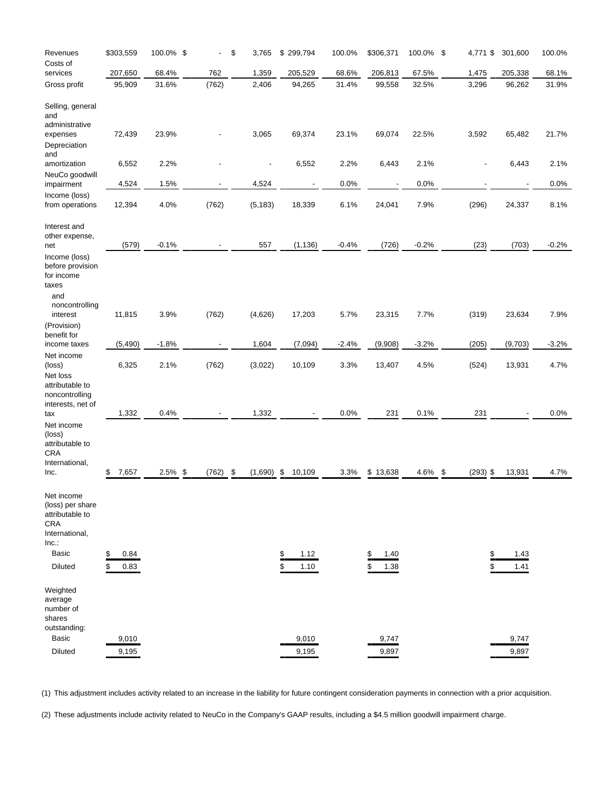| Revenues                                                                                                             | \$303,559                | 100.0% \$ | ä,         | \$<br>3,765              | \$<br>299,794      | 100.0%  | \$306,371          | 100.0% \$ | 4,771 \$   | 301,600        | 100.0%  |
|----------------------------------------------------------------------------------------------------------------------|--------------------------|-----------|------------|--------------------------|--------------------|---------|--------------------|-----------|------------|----------------|---------|
| Costs of<br>services                                                                                                 | 207,650                  | 68.4%     | 762        | 1,359                    | 205,529            | 68.6%   | 206,813            | 67.5%     | 1,475      | 205,338        | 68.1%   |
| Gross profit                                                                                                         | 95,909                   | 31.6%     | (762)      | 2,406                    | 94,265             | 31.4%   | 99,558             | 32.5%     | 3,296      | 96,262         | 31.9%   |
| Selling, general<br>and<br>administrative<br>expenses<br>Depreciation                                                | 72,439                   | 23.9%     |            | 3,065                    | 69,374             | 23.1%   | 69,074             | 22.5%     | 3,592      | 65,482         | 21.7%   |
| and<br>amortization                                                                                                  | 6,552                    | 2.2%      |            | $\overline{\phantom{0}}$ | 6,552              | 2.2%    | 6,443              | 2.1%      |            | 6,443          | 2.1%    |
| NeuCo goodwill<br>impairment                                                                                         | 4,524                    | 1.5%      |            | 4,524                    |                    | 0.0%    |                    | 0.0%      |            |                | 0.0%    |
| Income (loss)<br>from operations                                                                                     | 12,394                   | 4.0%      | (762)      | (5, 183)                 | 18,339             | 6.1%    | 24,041             | 7.9%      | (296)      | 24,337         | 8.1%    |
| Interest and<br>other expense,<br>net                                                                                | (579)                    | $-0.1%$   |            | 557                      | (1, 136)           | $-0.4%$ | (726)              | $-0.2%$   | (23)       | (703)          | $-0.2%$ |
| Income (loss)<br>before provision<br>for income<br>taxes<br>and<br>noncontrolling<br>interest                        | 11,815                   | 3.9%      | (762)      | (4,626)                  | 17,203             | 5.7%    | 23,315             | 7.7%      | (319)      | 23,634         | 7.9%    |
| (Provision)<br>benefit for                                                                                           |                          |           |            |                          |                    |         |                    |           |            |                |         |
| income taxes<br>Net income                                                                                           | (5, 490)                 | $-1.8%$   |            | 1,604                    | (7,094)            | $-2.4%$ | (9,908)            | $-3.2%$   | (205)      | (9,703)        | $-3.2%$ |
| (loss)<br>Net loss<br>attributable to<br>noncontrolling                                                              | 6,325                    | 2.1%      | (762)      | (3,022)                  | 10,109             | 3.3%    | 13,407             | 4.5%      | (524)      | 13,931         | 4.7%    |
| interests, net of<br>tax                                                                                             | 1,332                    | 0.4%      |            | 1,332                    |                    | 0.0%    | 231                | 0.1%      | 231        |                | 0.0%    |
| Net income<br>(loss)<br>attributable to<br><b>CRA</b><br>International,<br>Inc.                                      | 7,657<br>\$              | 2.5% \$   | $(762)$ \$ | $(1,690)$ \$             | 10,109             | 3.3%    | \$13,638           | 4.6% \$   | $(293)$ \$ | 13,931         | 4.7%    |
| Net income<br>(loss) per share<br>attributable to<br><b>CRA</b><br>International,<br>Inc.<br><b>Basic</b><br>Diluted | 0.84<br>\$<br>0.83<br>\$ |           |            |                          | 1.12<br>\$<br>1.10 |         | 1.40<br>\$<br>1.38 |           |            | 1.43<br>1.41   |         |
| Weighted<br>average<br>number of<br>shares<br>outstanding:<br><b>Basic</b><br>Diluted                                | 9,010<br>9,195           |           |            |                          | 9,010<br>9,195     |         | 9,747<br>9,897     |           |            | 9,747<br>9,897 |         |

(1) This adjustment includes activity related to an increase in the liability for future contingent consideration payments in connection with a prior acquisition.

(2) These adjustments include activity related to NeuCo in the Company's GAAP results, including a \$4.5 million goodwill impairment charge.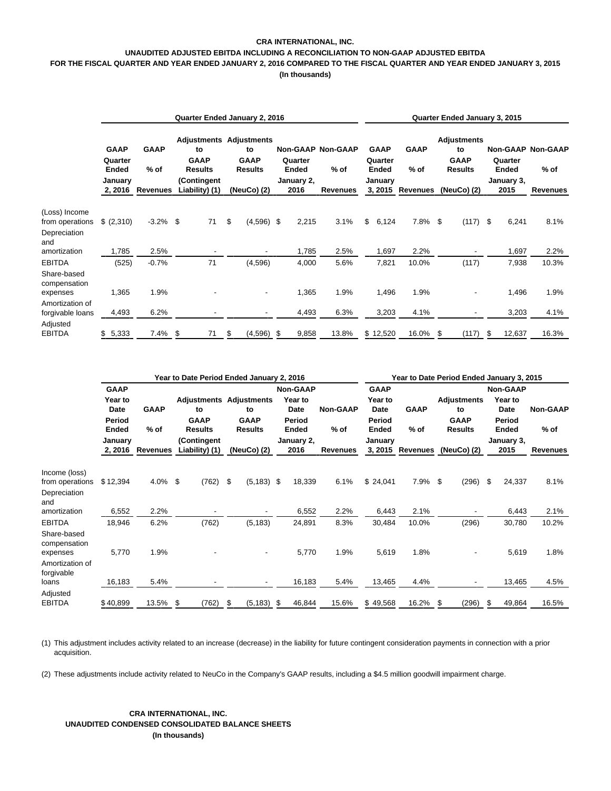## **CRA INTERNATIONAL, INC. UNAUDITED ADJUSTED EBITDA INCLUDING A RECONCILIATION TO NON-GAAP ADJUSTED EBITDA**

## **FOR THE FISCAL QUARTER AND YEAR ENDED JANUARY 2, 2016 COMPARED TO THE FISCAL QUARTER AND YEAR ENDED JANUARY 3, 2015**

**(In thousands)**

|                                              | Quarter Ended January 2, 2016   |                  |                               |                                     |    |              |                                                                       |                    |                  | Quarter Ended January 3, 2015      |          |                                        |                       |             |                                                           |                    |                  |                                    |
|----------------------------------------------|---------------------------------|------------------|-------------------------------|-------------------------------------|----|--------------|-----------------------------------------------------------------------|--------------------|------------------|------------------------------------|----------|----------------------------------------|-----------------------|-------------|-----------------------------------------------------------|--------------------|------------------|------------------------------------|
|                                              | <b>GAAP</b><br>Quarter<br>Ended | January          | <b>GAAP</b><br>$%$ of         | to<br><b>GAAP</b><br><b>Results</b> |    |              | <b>Adjustments Adjustments</b><br>to<br><b>GAAP</b><br><b>Results</b> |                    | Quarter<br>Ended | <b>Non-GAAP Non-GAAP</b><br>$%$ of |          | <b>GAAP</b><br>Quarter<br><b>Ended</b> | <b>GAAP</b><br>$%$ of |             | <b>Adjustments</b><br>to<br><b>GAAP</b><br><b>Results</b> |                    | Quarter<br>Ended | <b>Non-GAAP Non-GAAP</b><br>$%$ of |
|                                              |                                 | 2, 2016 Revenues | (Contingent<br>Liability) (1) |                                     |    | (NeuCo) (2)  |                                                                       | January 2,<br>2016 | <b>Revenues</b>  |                                    | January  | 3, 2015 Revenues                       |                       | (NeuCo) (2) |                                                           | January 3,<br>2015 | <b>Revenues</b>  |                                    |
| (Loss) Income                                |                                 |                  |                               |                                     |    |              |                                                                       |                    |                  |                                    |          |                                        |                       |             |                                                           |                    |                  |                                    |
| from operations<br>Depreciation              | \$ (2,310)                      | $-3.2%$          | \$                            | 71                                  | \$ | $(4,596)$ \$ |                                                                       | 2,215              | 3.1%             | \$                                 | 6,124    | $7.8\%$ \$                             |                       | (117)       | -\$                                                       | 6,241              | 8.1%             |                                    |
| and<br>amortization                          | 1,785                           | 2.5%             |                               |                                     |    |              |                                                                       | 1,785              | 2.5%             |                                    | 1,697    | 2.2%                                   |                       |             |                                                           | 1,697              | 2.2%             |                                    |
| <b>EBITDA</b><br>Share-based<br>compensation | (525)                           | $-0.7%$          |                               | 71                                  |    | (4,596)      |                                                                       | 4,000              | 5.6%             |                                    | 7,821    | 10.0%                                  |                       | (117)       |                                                           | 7,938              | 10.3%            |                                    |
| expenses<br>Amortization of                  | 1,365                           | 1.9%             |                               |                                     |    | -            |                                                                       | 1,365              | 1.9%             |                                    | 1,496    | 1.9%                                   |                       |             |                                                           | 1,496              | 1.9%             |                                    |
| forgivable loans                             | 4,493                           | 6.2%             |                               |                                     |    | ٠            |                                                                       | 4,493              | 6.3%             |                                    | 3,203    | 4.1%                                   |                       | ٠           |                                                           | 3,203              | 4.1%             |                                    |
| Adjusted<br><b>EBITDA</b>                    | \$5,333                         | 7.4%             | \$                            | 71                                  | \$ | $(4,596)$ \$ |                                                                       | 9,858              | 13.8%            |                                    | \$12,520 | 16.0% \$                               |                       | (117)       | \$                                                        | 12,637             | 16.3%            |                                    |

|                                         |                         |                     | Year to Date Period Ended January 2, 2016 |                                     | Year to Date Period Ended January 3, 2015 |                           |                         |                     |                                     |                            |                 |
|-----------------------------------------|-------------------------|---------------------|-------------------------------------------|-------------------------------------|-------------------------------------------|---------------------------|-------------------------|---------------------|-------------------------------------|----------------------------|-----------------|
|                                         | <b>GAAP</b><br>Year to  |                     |                                           | <b>Adjustments Adjustments</b>      | <b>Non-GAAP</b><br>Year to                |                           | <b>GAAP</b><br>Year to  |                     | <b>Adjustments</b>                  | <b>Non-GAAP</b><br>Year to | <b>Non-GAAP</b> |
|                                         | Date<br>Period<br>Ended | <b>GAAP</b><br>% of | to<br><b>GAAP</b><br><b>Results</b>       | to<br><b>GAAP</b><br><b>Results</b> | Date<br>Period<br>Ended                   | <b>Non-GAAP</b><br>$%$ of | Date<br>Period<br>Ended | <b>GAAP</b><br>% of | to<br><b>GAAP</b><br><b>Results</b> | Date<br>Period<br>Ended    | $%$ of          |
|                                         | January                 | 2, 2016 Revenues    | (Contingent<br>Liability) (1)             | (NeuCo) (2)                         | January 2,<br>2016                        | <b>Revenues</b>           | January<br>3, 2015      | <b>Revenues</b>     | (NeuCo) (2)                         | January 3,<br>2015         | <b>Revenues</b> |
| Income (loss)                           |                         |                     |                                           |                                     |                                           |                           |                         |                     |                                     |                            |                 |
| from operations                         | \$12,394                | 4.0%                | \$<br>(762)                               | - \$<br>$(5, 183)$ \$               | 18,339                                    | 6.1%                      | \$24,041                | $7.9\%$ \$          | (296)                               | \$<br>24,337               | 8.1%            |
| Depreciation<br>and                     |                         |                     |                                           |                                     |                                           |                           |                         |                     |                                     |                            |                 |
| amortization                            | 6,552                   | 2.2%                |                                           |                                     | 6,552                                     | 2.2%                      | 6,443                   | 2.1%                |                                     | 6,443                      | 2.1%            |
| <b>EBITDA</b>                           | 18,946                  | 6.2%                | (762)                                     | (5, 183)                            | 24,891                                    | 8.3%                      | 30,484                  | 10.0%               | (296)                               | 30,780                     | 10.2%           |
| Share-based<br>compensation<br>expenses | 5,770                   | 1.9%                |                                           |                                     | 5,770                                     | 1.9%                      | 5,619                   | 1.8%                |                                     | 5,619                      | 1.8%            |
| Amortization of<br>forgivable           |                         |                     |                                           |                                     |                                           |                           |                         |                     |                                     |                            |                 |
| loans                                   | 16,183                  | 5.4%                |                                           |                                     | 16,183                                    | 5.4%                      | 13,465                  | 4.4%                |                                     | 13,465                     | 4.5%            |
| Adjusted<br><b>EBITDA</b>               | \$40,899                | 13.5%               | \$<br>(762)                               | \$<br>$(5, 183)$ \$                 | 46,844                                    | 15.6%                     | \$49,568                | 16.2%               | (296)<br>\$                         | \$<br>49,864               | 16.5%           |

(1) This adjustment includes activity related to an increase (decrease) in the liability for future contingent consideration payments in connection with a prior acquisition.

(2) These adjustments include activity related to NeuCo in the Company's GAAP results, including a \$4.5 million goodwill impairment charge.

## **CRA INTERNATIONAL, INC. UNAUDITED CONDENSED CONSOLIDATED BALANCE SHEETS (In thousands)**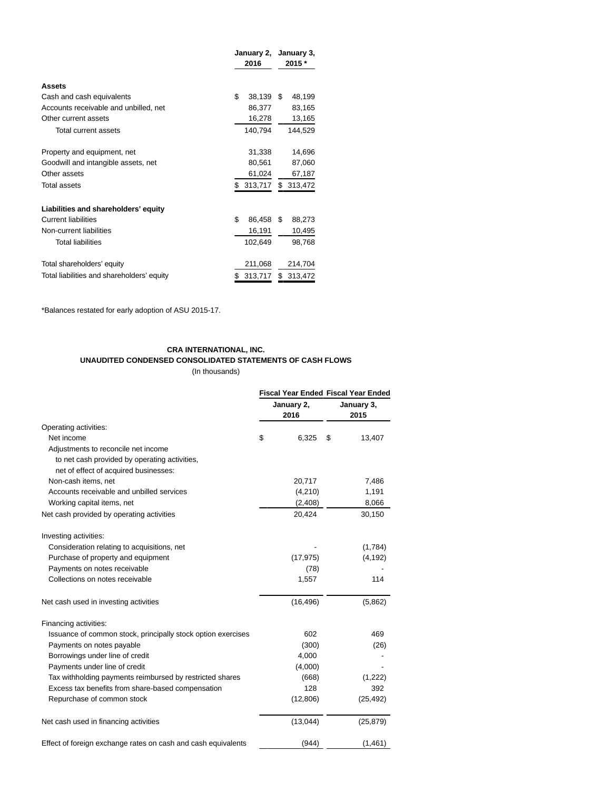|                                            | January 2,   | January 3,    |  |  |
|--------------------------------------------|--------------|---------------|--|--|
|                                            | 2016         | 2015 *        |  |  |
| <b>Assets</b>                              |              |               |  |  |
| Cash and cash equivalents                  | \$<br>38,139 | \$.<br>48,199 |  |  |
| Accounts receivable and unbilled, net      | 86,377       | 83,165        |  |  |
| Other current assets                       | 16,278       | 13,165        |  |  |
| Total current assets                       | 140,794      | 144,529       |  |  |
| Property and equipment, net                | 31,338       | 14,696        |  |  |
| Goodwill and intangible assets, net        | 80,561       | 87,060        |  |  |
| Other assets                               | 61,024       | 67,187        |  |  |
| <b>Total assets</b>                        | 313,717      | \$313,472     |  |  |
| Liabilities and shareholders' equity       |              |               |  |  |
| <b>Current liabilities</b>                 | \$<br>86,458 | S<br>88,273   |  |  |
| Non-current liabilities                    | 16,191       | 10,495        |  |  |
| <b>Total liabilities</b>                   | 102,649      | 98,768        |  |  |
| Total shareholders' equity                 | 211,068      | 214,704       |  |  |
| Total liabilities and shareholders' equity | 313,717      | S<br>313,472  |  |  |

\*Balances restated for early adoption of ASU 2015-17.

# **CRA INTERNATIONAL, INC.**

**UNAUDITED CONDENSED CONSOLIDATED STATEMENTS OF CASH FLOWS**

(In thousands)

|                                                               | <b>Fiscal Year Ended Fiscal Year Ended</b> |                    |    |                    |  |  |
|---------------------------------------------------------------|--------------------------------------------|--------------------|----|--------------------|--|--|
|                                                               |                                            | January 2,<br>2016 |    | January 3,<br>2015 |  |  |
| Operating activities:                                         |                                            |                    |    |                    |  |  |
| Net income                                                    | \$                                         | 6,325              | \$ | 13,407             |  |  |
| Adjustments to reconcile net income                           |                                            |                    |    |                    |  |  |
| to net cash provided by operating activities,                 |                                            |                    |    |                    |  |  |
| net of effect of acquired businesses:                         |                                            |                    |    |                    |  |  |
| Non-cash items, net                                           |                                            | 20,717             |    | 7,486              |  |  |
| Accounts receivable and unbilled services                     |                                            | (4,210)            |    | 1,191              |  |  |
| Working capital items, net                                    |                                            | (2,408)            |    | 8,066              |  |  |
| Net cash provided by operating activities                     |                                            | 20,424             |    | 30,150             |  |  |
| Investing activities:                                         |                                            |                    |    |                    |  |  |
| Consideration relating to acquisitions, net                   |                                            |                    |    | (1,784)            |  |  |
| Purchase of property and equipment                            |                                            | (17, 975)          |    | (4, 192)           |  |  |
| Payments on notes receivable                                  |                                            | (78)               |    |                    |  |  |
| Collections on notes receivable                               |                                            | 1,557              |    | 114                |  |  |
| Net cash used in investing activities                         |                                            | (16, 496)          |    | (5,862)            |  |  |
| Financing activities:                                         |                                            |                    |    |                    |  |  |
| Issuance of common stock, principally stock option exercises  |                                            | 602                |    | 469                |  |  |
| Payments on notes payable                                     |                                            | (300)              |    | (26)               |  |  |
| Borrowings under line of credit                               |                                            | 4,000              |    |                    |  |  |
| Payments under line of credit                                 |                                            | (4,000)            |    |                    |  |  |
| Tax withholding payments reimbursed by restricted shares      |                                            | (668)              |    | (1,222)            |  |  |
| Excess tax benefits from share-based compensation             |                                            | 128                |    | 392                |  |  |
| Repurchase of common stock                                    |                                            | (12,806)           |    | (25, 492)          |  |  |
| Net cash used in financing activities                         |                                            | (13,044)           |    | (25, 879)          |  |  |
| Effect of foreign exchange rates on cash and cash equivalents |                                            | (944)              |    | (1, 461)           |  |  |